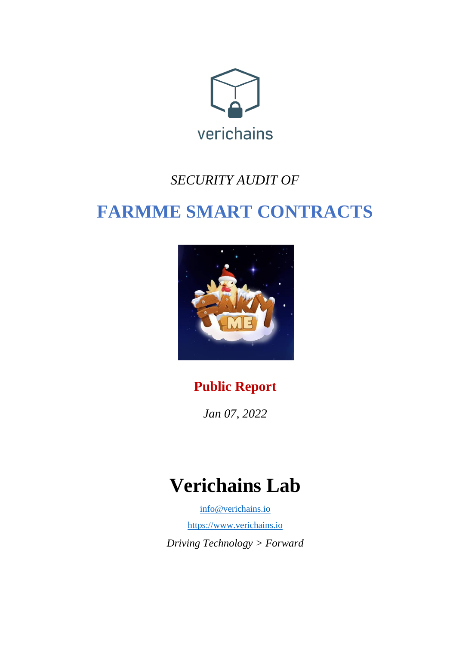

# *SECURITY AUDIT OF*

# **FARMME SMART CONTRACTS**



# **Public Report**

*Jan 07, 2022*

# **Verichains Lab**

[info@verichains.io](mailto:info@verichains.io) [https://www.verichains.io](https://www.verichains.io/) *Driving Technology > Forward*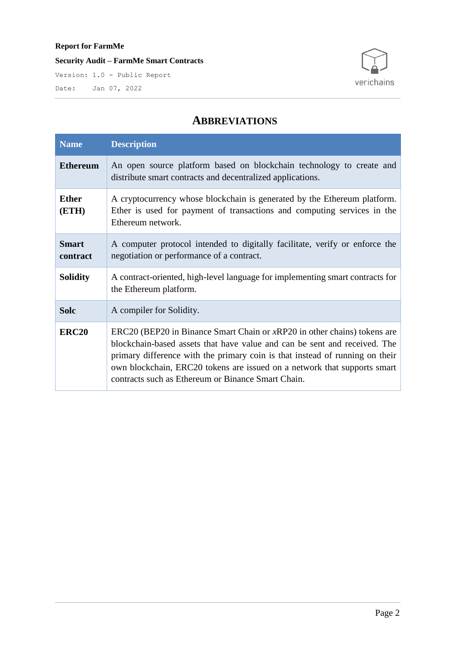**Security Audit – FarmMe Smart Contracts**

Version: 1.0 - Public Report Date: Jan 07, 2022



## **ABBREVIATIONS**

| <b>Name</b>              | <b>Description</b>                                                                                                                                                                                                                                                                                                                                                          |  |  |
|--------------------------|-----------------------------------------------------------------------------------------------------------------------------------------------------------------------------------------------------------------------------------------------------------------------------------------------------------------------------------------------------------------------------|--|--|
| <b>Ethereum</b>          | An open source platform based on blockchain technology to create and<br>distribute smart contracts and decentralized applications.                                                                                                                                                                                                                                          |  |  |
| <b>Ether</b><br>(ETH)    | A cryptocurrency whose blockchain is generated by the Ethereum platform.<br>Ether is used for payment of transactions and computing services in the<br>Ethereum network.                                                                                                                                                                                                    |  |  |
| <b>Smart</b><br>contract | A computer protocol intended to digitally facilitate, verify or enforce the<br>negotiation or performance of a contract.                                                                                                                                                                                                                                                    |  |  |
| <b>Solidity</b>          | A contract-oriented, high-level language for implementing smart contracts for<br>the Ethereum platform.                                                                                                                                                                                                                                                                     |  |  |
| <b>Solc</b>              | A compiler for Solidity.                                                                                                                                                                                                                                                                                                                                                    |  |  |
| <b>ERC20</b>             | $ERC20$ (BEP20 in Binance Smart Chain or $xRP20$ in other chains) tokens are<br>blockchain-based assets that have value and can be sent and received. The<br>primary difference with the primary coin is that instead of running on their<br>own blockchain, ERC20 tokens are issued on a network that supports smart<br>contracts such as Ethereum or Binance Smart Chain. |  |  |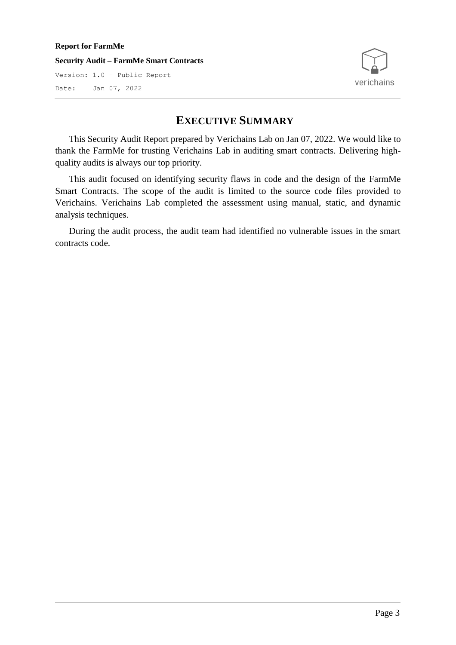**Security Audit – FarmMe Smart Contracts**

Version: 1.0 - Public Report Date: Jan 07, 2022



## **EXECUTIVE SUMMARY**

This Security Audit Report prepared by Verichains Lab on Jan 07, 2022. We would like to thank the FarmMe for trusting Verichains Lab in auditing smart contracts. Delivering highquality audits is always our top priority.

This audit focused on identifying security flaws in code and the design of the FarmMe Smart Contracts. The scope of the audit is limited to the source code files provided to Verichains. Verichains Lab completed the assessment using manual, static, and dynamic analysis techniques.

During the audit process, the audit team had identified no vulnerable issues in the smart contracts code.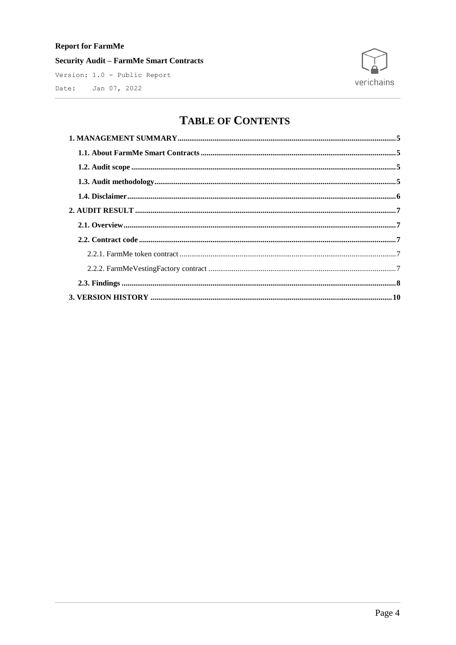**Security Audit - FarmMe Smart Contracts** 

Version: 1.0 - Public Report Date: Jan 07, 2022



# **TABLE OF CONTENTS**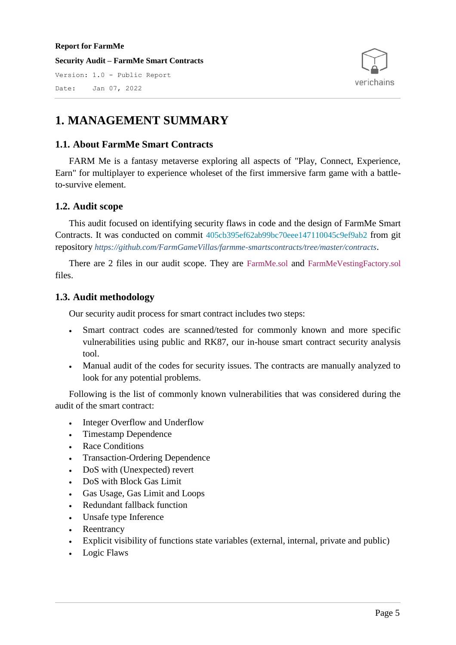**Security Audit – FarmMe Smart Contracts** Version: 1.0 - Public Report

Date: Jan 07, 2022



## <span id="page-4-0"></span>**1. MANAGEMENT SUMMARY**

### <span id="page-4-1"></span>**1.1. About FarmMe Smart Contracts**

FARM Me is a fantasy metaverse exploring all aspects of "Play, Connect, Experience, Earn" for multiplayer to experience wholeset of the first immersive farm game with a battleto-survive element.

### <span id="page-4-2"></span>**1.2. Audit scope**

This audit focused on identifying security flaws in code and the design of FarmMe Smart Contracts. It was conducted on commit 405cb395ef62ab99bc70eee147110045c9ef9ab2 from git repository *https://github.com/FarmGameVillas/farmme-smartscontracts/tree/master/contracts*.

There are 2 files in our audit scope. They are FarmMe.sol and FarmMeVestingFactory.sol files.

## <span id="page-4-3"></span>**1.3. Audit methodology**

Our security audit process for smart contract includes two steps:

- Smart contract codes are scanned/tested for commonly known and more specific vulnerabilities using public and RK87, our in-house smart contract security analysis tool.
- Manual audit of the codes for security issues. The contracts are manually analyzed to look for any potential problems.

Following is the list of commonly known vulnerabilities that was considered during the audit of the smart contract:

- Integer Overflow and Underflow
- Timestamp Dependence
- Race Conditions
- Transaction-Ordering Dependence
- DoS with (Unexpected) revert
- DoS with Block Gas Limit
- Gas Usage, Gas Limit and Loops
- Redundant fallback function
- Unsafe type Inference
- Reentrancy
- Explicit visibility of functions state variables (external, internal, private and public)
- Logic Flaws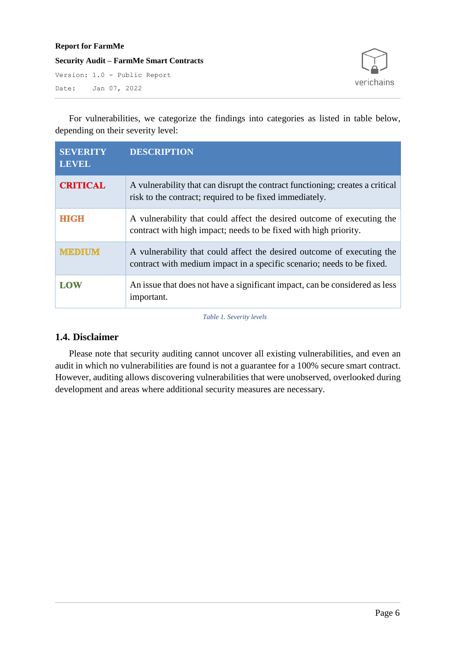**Security Audit – FarmMe Smart Contracts**

Version: 1.0 - Public Report Date: Jan 07, 2022



For vulnerabilities, we categorize the findings into categories as listed in table below, depending on their severity level:

| <b>SEVERITY</b><br><b>LEVEL</b> | <b>DESCRIPTION</b>                                                                                                                               |
|---------------------------------|--------------------------------------------------------------------------------------------------------------------------------------------------|
| <b>CRITICAL</b>                 | A vulnerability that can disrupt the contract functioning; creates a critical<br>risk to the contract; required to be fixed immediately.         |
| <b>HIGH</b>                     | A vulnerability that could affect the desired outcome of executing the<br>contract with high impact; needs to be fixed with high priority.       |
| <b>MEDIUM</b>                   | A vulnerability that could affect the desired outcome of executing the<br>contract with medium impact in a specific scenario; needs to be fixed. |
| <b>LOW</b>                      | An issue that does not have a significant impact, can be considered as less<br>important.                                                        |

*Table 1. Severity levels*

### <span id="page-5-0"></span>**1.4. Disclaimer**

Please note that security auditing cannot uncover all existing vulnerabilities, and even an audit in which no vulnerabilities are found is not a guarantee for a 100% secure smart contract. However, auditing allows discovering vulnerabilities that were unobserved, overlooked during development and areas where additional security measures are necessary.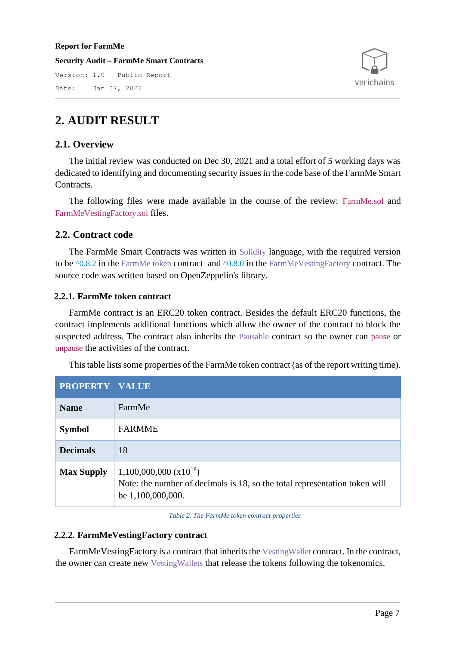**Security Audit – FarmMe Smart Contracts** Version: 1.0 - Public Report Date: Jan 07, 2022



# <span id="page-6-0"></span>**2. AUDIT RESULT**

#### <span id="page-6-1"></span>**2.1. Overview**

The initial review was conducted on Dec 30, 2021 and a total effort of 5 working days was dedicated to identifying and documenting security issues in the code base of the FarmMe Smart Contracts.

The following files were made available in the course of the review: FarmMe.sol and FarmMeVestingFactory.sol files.

#### <span id="page-6-2"></span>**2.2. Contract code**

The FarmMe Smart Contracts was written in Solidity language, with the required version to be  $\triangle 0.8.2$  in the FarmMe token contract and  $\triangle 0.8.0$  in the FarmMeVestingFactory contract. The source code was written based on OpenZeppelin's library.

#### <span id="page-6-3"></span>**2.2.1. FarmMe token contract**

FarmMe contract is an ERC20 token contract. Besides the default ERC20 functions, the contract implements additional functions which allow the owner of the contract to block the suspected address. The contract also inherits the Pausable contract so the owner can pause or unpause the activities of the contract.

This table lists some properties of the FarmMe token contract (as of the report writing time).

| PROPERTY VALUE    |                                                                                                                                 |
|-------------------|---------------------------------------------------------------------------------------------------------------------------------|
| <b>Name</b>       | FarmMe                                                                                                                          |
| <b>Symbol</b>     | <b>FARMME</b>                                                                                                                   |
| <b>Decimals</b>   | 18                                                                                                                              |
| <b>Max Supply</b> | $1,100,000,000 \ (x10^{18})$<br>Note: the number of decimals is 18, so the total representation token will<br>be 1,100,000,000. |

*Table 2. The FarmMe token contract properties*

#### <span id="page-6-4"></span>**2.2.2. FarmMeVestingFactory contract**

FarmMeVestingFactory is a contract that inherits the VestingWallet contract. In the contract, the owner can create new VestingWallets that release the tokens following the tokenomics.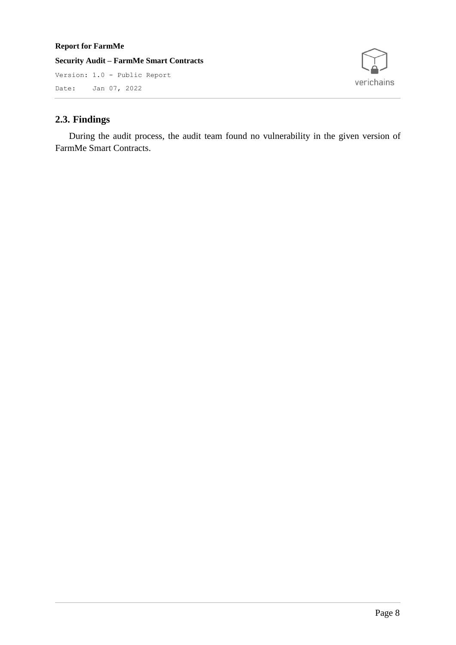**Security Audit – FarmMe Smart Contracts** Version: 1.0 - Public Report Date: Jan 07, 2022



## <span id="page-7-0"></span>**2.3. Findings**

During the audit process, the audit team found no vulnerability in the given version of FarmMe Smart Contracts.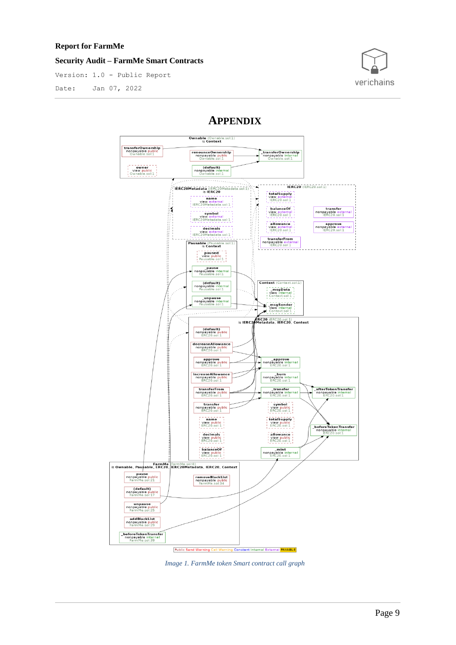#### **Security Audit – FarmMe Smart Contracts**

Version: 1.0 - Public Report

Date: Jan 07, 2022



## **APPENDIX**



*Image 1. FarmMe token Smart contract call graph*